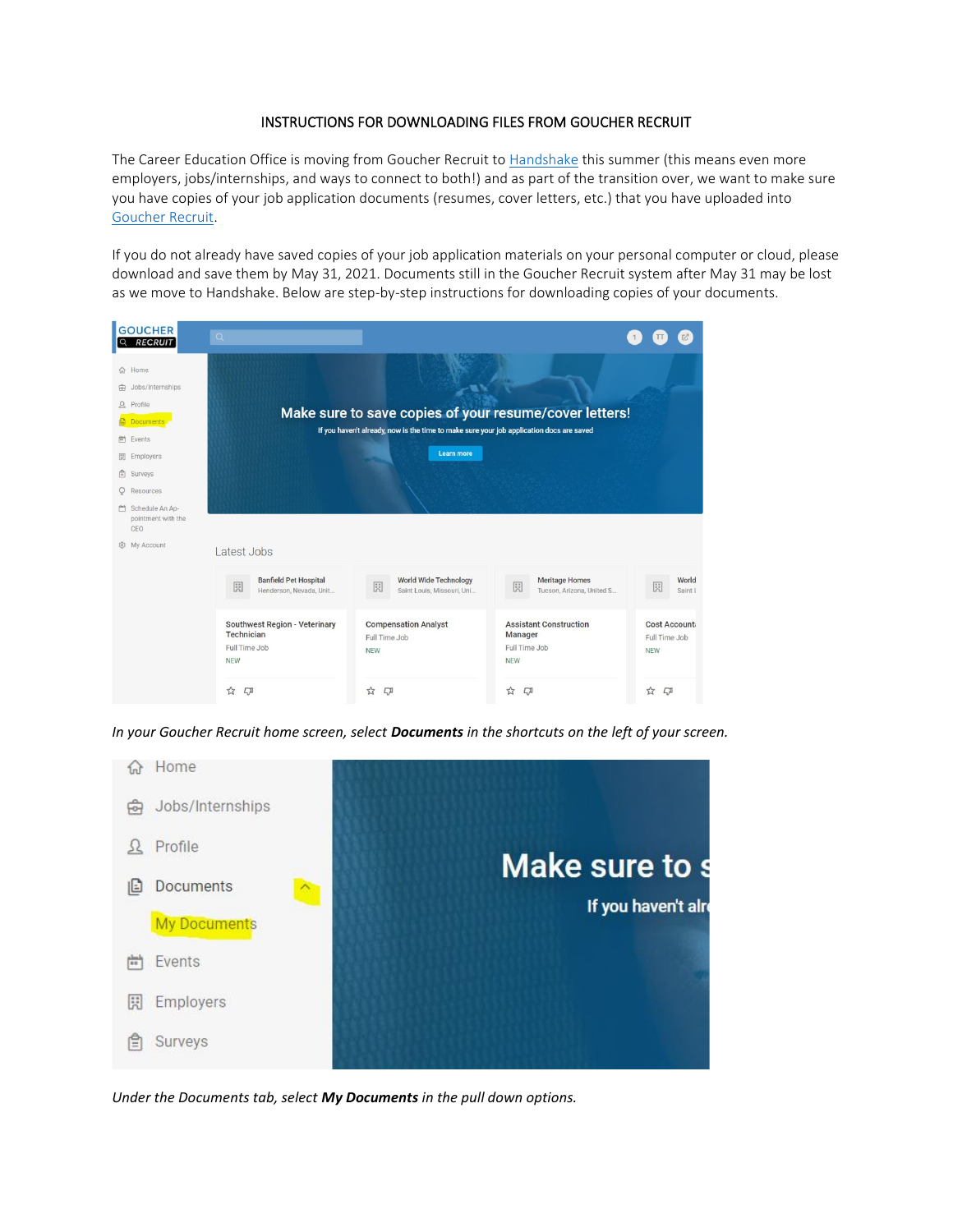## INSTRUCTIONS FOR DOWNLOADING FILES FROM GOUCHER RECRUIT

The Career Education Office is moving from Goucher Recruit to [Handshake](https://joinhandshake.com/) this summer (this means even more employers, jobs/internships, and ways to connect to both!) and as part of the transition over, we want to make sure you have copies of your job application documents (resumes, cover letters, etc.) that you have uploaded into [Goucher Recruit.](http://www.goucher.edu/recruit) 

If you do not already have saved copies of your job application materials on your personal computer or cloud, please download and save them by May 31, 2021. Documents still in the Goucher Recruit system after May 31 may be lost as we move to Handshake. Below are step-by-step instructions for downloading copies of your documents.

| <b>GOUCHER</b><br><b>RECRUIT</b>                                                                                                                                                                | $\mathsf Q$                                                                |                                                                                                        |                                                                         |                                             |  |
|-------------------------------------------------------------------------------------------------------------------------------------------------------------------------------------------------|----------------------------------------------------------------------------|--------------------------------------------------------------------------------------------------------|-------------------------------------------------------------------------|---------------------------------------------|--|
| 命 Home<br>Jobs/Internships<br>क्री<br>Profile<br>Ω<br><b>Documents</b><br>Events<br>尚<br>园<br>Employers<br>白<br>Surveys<br>Resources<br>$\circ$<br>Schedule An Ap-<br>pointment with the<br>CEO |                                                                            | If you haven't already, now is the time to make sure your job application docs are saved<br>Learn more | Make sure to save copies of your resume/cover letters!                  |                                             |  |
| 8 My Account                                                                                                                                                                                    | Latest Jobs                                                                |                                                                                                        |                                                                         |                                             |  |
|                                                                                                                                                                                                 | <b>Banfield Pet Hospital</b><br>园<br>Henderson, Nevada, Unit               | World Wide Technology<br>園<br>Saint Louis, Missouri, Uni                                               | <b>Meritage Homes</b><br>園<br>Tucson, Arizona, United S                 | World<br>園<br>Saint I                       |  |
|                                                                                                                                                                                                 | Southwest Region - Veterinary<br>Technician<br>Full Time Job<br><b>NEW</b> | <b>Compensation Analyst</b><br>Full Time Job<br><b>NEW</b>                                             | <b>Assistant Construction</b><br>Manager<br>Full Time Job<br><b>NEW</b> | Cost Account<br>Full Time Job<br><b>NEW</b> |  |
|                                                                                                                                                                                                 | ☆<br>$\Box$                                                                | $\boldsymbol{\mathcal{Z}}$<br>$\Box$                                                                   | ☆<br>$\Box$                                                             | ☆<br>$\Box$                                 |  |

*In your Goucher Recruit home screen, select Documents in the shortcuts on the left of your screen.* 



*Under the Documents tab, select My Documents in the pull down options.*